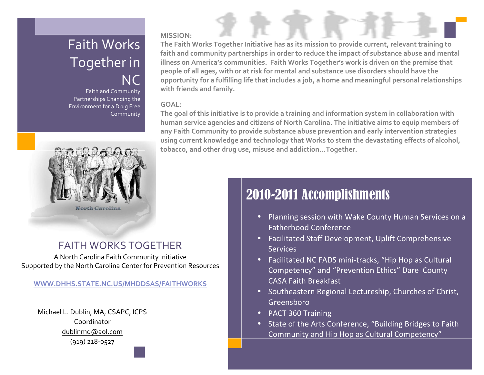## Faith Works Together in NC

Faith and Community Partnerships Changing the Environment for a Drug Free Community



### FAITH WORKS TOGETHER

A North Carolina Faith Community Initiative Supported by the North Carolina Center for Prevention Resources

#### **WWW.DHHS.STATE.NC.US/MHDDSAS/FAITHWORKS**

Michael L. Dublin, MA, CSAPC, ICPS Coordinator dublinmd@aol.com  $(919)$  218-0527

#### **MISSION:**

The Faith Works Together Initiative has as its mission to provide current, relevant training to faith and community partnerships in order to reduce the impact of substance abuse and mental illness on America's communities. Faith Works Together's work is driven on the premise that people of all ages, with or at risk for mental and substance use disorders should have the opportunity for a fulfilling life that includes a job, a home and meaningful personal relationships with friends and family.

#### **GOAL:**

The goal of this initiative is to provide a training and information system in collaboration with human service agencies and citizens of North Carolina. The initiative aims to equip members of any Faith Community to provide substance abuse prevention and early intervention strategies using current knowledge and technology that Works to stem the devastating effects of alcohol, **tobacco,'and'other'drug'use,'misuse'and'addiction...Together.**

## 2010-2011 Accomplishments

- Planning session with Wake County Human Services on a Fatherhood'Conference
- Facilitated Staff Development, Uplift Comprehensive **Services**
- Facilitated NC FADS mini-tracks, "Hip Hop as Cultural Competency" and "Prevention Ethics" Dare County CASA Faith Breakfast
- Southeastern Regional Lectureship, Churches of Christ, Greensboro
- PACT 360 Training
- State of the Arts Conference, "Building Bridges to Faith Community and Hip Hop as Cultural Competency"